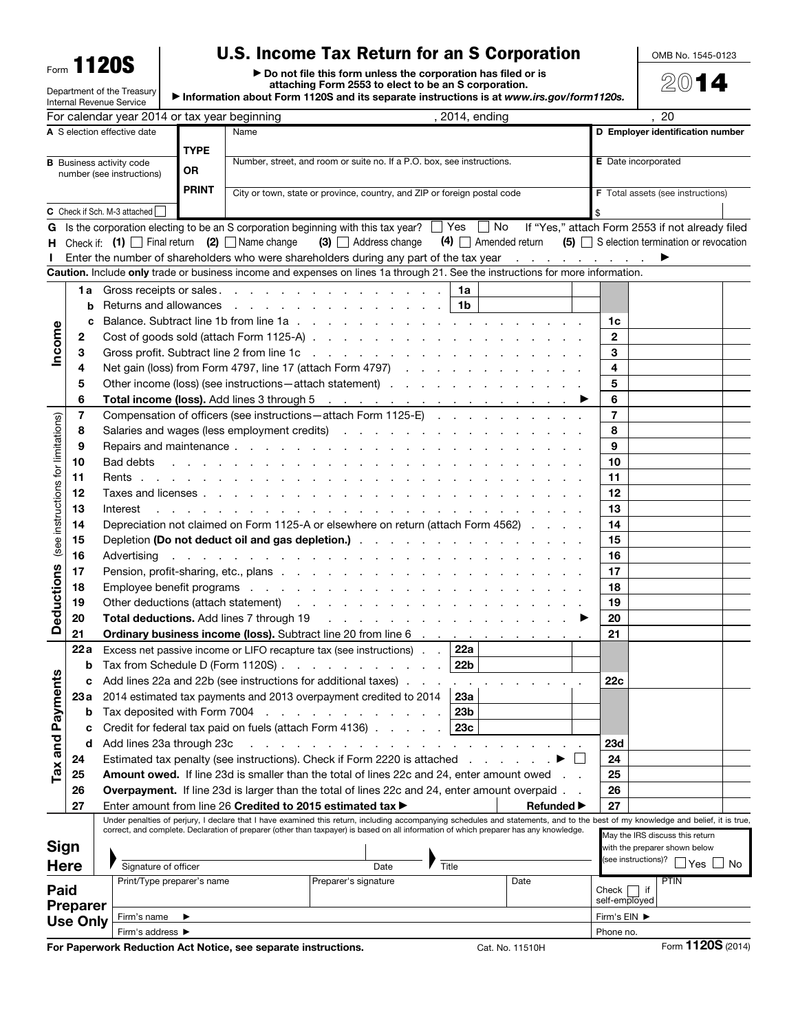Form 1120S

Department of the Treasury

## U.S. Income Tax Return for an S Corporation

OMB No. 1545-0123

2014

▶ Do not file this form unless the corporation has filed or is attaching Form 2553 to elect to be an S corporation.

▶ Information about Form 1120S and its separate instructions is at *www.irs.gov/form1120s.*

| $\blacktriangleright$ information about Form 1120S and its separate instructions is at www.irs.gov/form1120s.<br>Internal Revenue Service |                 |                                                                                                                                                                                                                                |                  |      |                                                                                                                                                                                                                                     |                                                                                                                                                                                                                                                                                                                          |                                                                 |                   |                |                                                      |     |  |
|-------------------------------------------------------------------------------------------------------------------------------------------|-----------------|--------------------------------------------------------------------------------------------------------------------------------------------------------------------------------------------------------------------------------|------------------|------|-------------------------------------------------------------------------------------------------------------------------------------------------------------------------------------------------------------------------------------|--------------------------------------------------------------------------------------------------------------------------------------------------------------------------------------------------------------------------------------------------------------------------------------------------------------------------|-----------------------------------------------------------------|-------------------|----------------|------------------------------------------------------|-----|--|
|                                                                                                                                           |                 | For calendar year 2014 or tax year beginning                                                                                                                                                                                   |                  |      |                                                                                                                                                                                                                                     | , 2014, ending                                                                                                                                                                                                                                                                                                           |                                                                 |                   |                | 20                                                   |     |  |
| A S election effective date                                                                                                               |                 |                                                                                                                                                                                                                                |                  | Name |                                                                                                                                                                                                                                     |                                                                                                                                                                                                                                                                                                                          | D Employer identification number                                |                   |                |                                                      |     |  |
| <b>TYPE</b>                                                                                                                               |                 |                                                                                                                                                                                                                                |                  |      |                                                                                                                                                                                                                                     |                                                                                                                                                                                                                                                                                                                          |                                                                 |                   |                |                                                      |     |  |
| Number, street, and room or suite no. If a P.O. box, see instructions.<br><b>B</b> Business activity code<br>OR                           |                 |                                                                                                                                                                                                                                |                  |      |                                                                                                                                                                                                                                     |                                                                                                                                                                                                                                                                                                                          | <b>E</b> Date incorporated                                      |                   |                |                                                      |     |  |
| number (see instructions)                                                                                                                 |                 |                                                                                                                                                                                                                                |                  |      |                                                                                                                                                                                                                                     |                                                                                                                                                                                                                                                                                                                          |                                                                 |                   |                |                                                      |     |  |
|                                                                                                                                           |                 |                                                                                                                                                                                                                                | <b>PRINT</b>     |      | City or town, state or province, country, and ZIP or foreign postal code                                                                                                                                                            |                                                                                                                                                                                                                                                                                                                          |                                                                 |                   |                | <b>F</b> Total assets (see instructions)             |     |  |
|                                                                                                                                           |                 | C Check if Sch. M-3 attached                                                                                                                                                                                                   |                  |      |                                                                                                                                                                                                                                     |                                                                                                                                                                                                                                                                                                                          |                                                                 |                   |                |                                                      |     |  |
| G                                                                                                                                         |                 |                                                                                                                                                                                                                                |                  |      | Is the corporation electing to be an S corporation beginning with this tax year? $\Box$ Yes $\Box$ No                                                                                                                               |                                                                                                                                                                                                                                                                                                                          |                                                                 |                   |                | If "Yes," attach Form 2553 if not already filed      |     |  |
| н                                                                                                                                         |                 | Check if: $(1)$ Final return $(2)$ Name change                                                                                                                                                                                 |                  |      | $(3)$ $\Box$ Address change                                                                                                                                                                                                         |                                                                                                                                                                                                                                                                                                                          | $(4)$ Amended return $(5)$ S election termination or revocation |                   |                |                                                      |     |  |
|                                                                                                                                           |                 |                                                                                                                                                                                                                                |                  |      | Enter the number of shareholders who were shareholders during any part of the tax year                                                                                                                                              |                                                                                                                                                                                                                                                                                                                          |                                                                 |                   |                | ▶                                                    |     |  |
|                                                                                                                                           |                 |                                                                                                                                                                                                                                |                  |      | Caution. Include only trade or business income and expenses on lines 1a through 21. See the instructions for more information.                                                                                                      |                                                                                                                                                                                                                                                                                                                          |                                                                 |                   |                |                                                      |     |  |
|                                                                                                                                           |                 |                                                                                                                                                                                                                                |                  |      |                                                                                                                                                                                                                                     | 1a                                                                                                                                                                                                                                                                                                                       |                                                                 |                   |                |                                                      |     |  |
|                                                                                                                                           | b               | Returns and allowances                                                                                                                                                                                                         |                  |      | the contract of the contract of the contract of the contract of the contract of the contract of the contract of                                                                                                                     | -1b                                                                                                                                                                                                                                                                                                                      |                                                                 |                   |                |                                                      |     |  |
|                                                                                                                                           | c               |                                                                                                                                                                                                                                |                  |      |                                                                                                                                                                                                                                     |                                                                                                                                                                                                                                                                                                                          |                                                                 |                   | 1c             |                                                      |     |  |
| Income                                                                                                                                    | 2               |                                                                                                                                                                                                                                |                  |      |                                                                                                                                                                                                                                     |                                                                                                                                                                                                                                                                                                                          |                                                                 |                   | $\mathbf{2}$   |                                                      |     |  |
|                                                                                                                                           | 3               |                                                                                                                                                                                                                                |                  |      |                                                                                                                                                                                                                                     |                                                                                                                                                                                                                                                                                                                          |                                                                 |                   | 3              |                                                      |     |  |
|                                                                                                                                           | 4               |                                                                                                                                                                                                                                |                  |      | Net gain (loss) from Form 4797, line 17 (attach Form 4797)                                                                                                                                                                          |                                                                                                                                                                                                                                                                                                                          |                                                                 |                   | 4              |                                                      |     |  |
|                                                                                                                                           | 5               |                                                                                                                                                                                                                                |                  |      | Other income (loss) (see instructions – attach statement)                                                                                                                                                                           |                                                                                                                                                                                                                                                                                                                          |                                                                 |                   | 5              |                                                      |     |  |
|                                                                                                                                           | 6               |                                                                                                                                                                                                                                |                  |      |                                                                                                                                                                                                                                     |                                                                                                                                                                                                                                                                                                                          |                                                                 | ▶                 | 6              |                                                      |     |  |
|                                                                                                                                           | 7               |                                                                                                                                                                                                                                |                  |      | Compensation of officers (see instructions - attach Form 1125-E)                                                                                                                                                                    |                                                                                                                                                                                                                                                                                                                          |                                                                 |                   | $\overline{7}$ |                                                      |     |  |
|                                                                                                                                           | 8               |                                                                                                                                                                                                                                |                  |      |                                                                                                                                                                                                                                     |                                                                                                                                                                                                                                                                                                                          |                                                                 |                   | 8              |                                                      |     |  |
|                                                                                                                                           | 9               |                                                                                                                                                                                                                                |                  |      |                                                                                                                                                                                                                                     |                                                                                                                                                                                                                                                                                                                          |                                                                 |                   | 9              |                                                      |     |  |
|                                                                                                                                           | 10              | Bad debts                                                                                                                                                                                                                      |                  |      | <u>. In the second contract of the second contract of the second contract of the second</u>                                                                                                                                         |                                                                                                                                                                                                                                                                                                                          |                                                                 |                   | 10             |                                                      |     |  |
|                                                                                                                                           | 11              |                                                                                                                                                                                                                                |                  |      |                                                                                                                                                                                                                                     |                                                                                                                                                                                                                                                                                                                          |                                                                 |                   | 11             |                                                      |     |  |
| (see instructions for limitations)                                                                                                        | 12              |                                                                                                                                                                                                                                |                  |      |                                                                                                                                                                                                                                     |                                                                                                                                                                                                                                                                                                                          |                                                                 |                   | 12             |                                                      |     |  |
|                                                                                                                                           | 13              | Interest                                                                                                                                                                                                                       |                  |      | and the contract of the contract of the contract of the contract of the contract of the contract of the contract of the contract of the contract of the contract of the contract of the contract of the contract of the contra      |                                                                                                                                                                                                                                                                                                                          |                                                                 |                   | 13             |                                                      |     |  |
|                                                                                                                                           | 14              | Depreciation not claimed on Form 1125-A or elsewhere on return (attach Form 4562)                                                                                                                                              |                  |      |                                                                                                                                                                                                                                     |                                                                                                                                                                                                                                                                                                                          |                                                                 |                   |                |                                                      |     |  |
|                                                                                                                                           | 15              |                                                                                                                                                                                                                                |                  |      |                                                                                                                                                                                                                                     |                                                                                                                                                                                                                                                                                                                          |                                                                 |                   |                |                                                      |     |  |
|                                                                                                                                           | 16              | والمتعاون والمتعاون والمتعاون والمتعاون والمتعاونة والمتعاونة والمتعاونة والمتعاونة والمتعاونة والمتعاونة<br>Advertising                                                                                                       |                  |      |                                                                                                                                                                                                                                     |                                                                                                                                                                                                                                                                                                                          |                                                                 |                   |                |                                                      |     |  |
|                                                                                                                                           | 17              |                                                                                                                                                                                                                                |                  |      |                                                                                                                                                                                                                                     |                                                                                                                                                                                                                                                                                                                          |                                                                 |                   |                |                                                      |     |  |
|                                                                                                                                           | 18              | Employee benefit programs resources and contact the contract of the contract of the contract of the contract of the contract of the contract of the contract of the contract of the contract of the contract of the contract o |                  |      |                                                                                                                                                                                                                                     |                                                                                                                                                                                                                                                                                                                          |                                                                 |                   | 18             |                                                      |     |  |
|                                                                                                                                           | 19              |                                                                                                                                                                                                                                |                  |      | Other deductions (attach statement) (e.g. in the case of the case of the contract of the contract of the contract of the contract of the contract of the contract of the contract of the contract of the contract of the contr      |                                                                                                                                                                                                                                                                                                                          |                                                                 |                   | 19             |                                                      |     |  |
| <b>Deductions</b>                                                                                                                         | 20              |                                                                                                                                                                                                                                |                  |      | <b>Total deductions.</b> Add lines 7 through 19 (a) and a set of the set of the set of the set of the set of the set of the set of the set of the set of the set of the set of the set of the set of the set of the set of the set  |                                                                                                                                                                                                                                                                                                                          |                                                                 | ▶                 | 20             |                                                      |     |  |
|                                                                                                                                           | 21              |                                                                                                                                                                                                                                |                  |      | <b>Ordinary business income (loss).</b> Subtract line 20 from line 6 mass and contained a set of the set of the 20 from line 6 mass and containing the set of the set of the set of the 20 from line 6 mass and contained by Defini |                                                                                                                                                                                                                                                                                                                          |                                                                 |                   | 21             |                                                      |     |  |
|                                                                                                                                           | 22 a            |                                                                                                                                                                                                                                |                  |      | Excess net passive income or LIFO recapture tax (see instructions)                                                                                                                                                                  | 22a                                                                                                                                                                                                                                                                                                                      |                                                                 |                   |                |                                                      |     |  |
| n                                                                                                                                         |                 |                                                                                                                                                                                                                                |                  |      | <b>b</b> Tax from Schedule D (Form 1120S) $\ldots$ $\ldots$ $\ldots$ $\ldots$ $\ldots$                                                                                                                                              | 22b                                                                                                                                                                                                                                                                                                                      |                                                                 |                   |                |                                                      |     |  |
|                                                                                                                                           |                 |                                                                                                                                                                                                                                |                  |      | Add lines 22a and 22b (see instructions for additional taxes)                                                                                                                                                                       |                                                                                                                                                                                                                                                                                                                          |                                                                 |                   | 22c            |                                                      |     |  |
|                                                                                                                                           | 23 а            |                                                                                                                                                                                                                                |                  |      | 2014 estimated tax payments and 2013 overpayment credited to 2014                                                                                                                                                                   | 23а                                                                                                                                                                                                                                                                                                                      |                                                                 |                   |                |                                                      |     |  |
|                                                                                                                                           | b               | Tax deposited with Form 7004                                                                                                                                                                                                   |                  |      | the contract of the contract of the                                                                                                                                                                                                 | 23b                                                                                                                                                                                                                                                                                                                      |                                                                 |                   |                |                                                      |     |  |
|                                                                                                                                           | c               |                                                                                                                                                                                                                                |                  |      | Credit for federal tax paid on fuels (attach Form 4136)                                                                                                                                                                             | 23c                                                                                                                                                                                                                                                                                                                      |                                                                 |                   |                |                                                      |     |  |
| <b>Tax and Payment</b>                                                                                                                    | d               | Add lines 23a through 23c                                                                                                                                                                                                      |                  |      |                                                                                                                                                                                                                                     |                                                                                                                                                                                                                                                                                                                          |                                                                 |                   | <b>23d</b>     |                                                      |     |  |
|                                                                                                                                           | 24              |                                                                                                                                                                                                                                |                  |      | Estimated tax penalty (see instructions). Check if Form 2220 is attached                                                                                                                                                            |                                                                                                                                                                                                                                                                                                                          |                                                                 |                   | 24             |                                                      |     |  |
|                                                                                                                                           | 25              |                                                                                                                                                                                                                                |                  |      | <b>Amount owed.</b> If line 23d is smaller than the total of lines 22c and 24, enter amount owed                                                                                                                                    |                                                                                                                                                                                                                                                                                                                          |                                                                 |                   | 25             |                                                      |     |  |
|                                                                                                                                           | 26              |                                                                                                                                                                                                                                |                  |      | Overpayment. If line 23d is larger than the total of lines 22c and 24, enter amount overpaid.                                                                                                                                       |                                                                                                                                                                                                                                                                                                                          |                                                                 |                   | 26             |                                                      |     |  |
|                                                                                                                                           | 27              |                                                                                                                                                                                                                                |                  |      | Enter amount from line 26 Credited to 2015 estimated tax ▶                                                                                                                                                                          |                                                                                                                                                                                                                                                                                                                          |                                                                 | <b>Refunded</b> ▶ | 27             |                                                      |     |  |
|                                                                                                                                           |                 |                                                                                                                                                                                                                                |                  |      |                                                                                                                                                                                                                                     | Under penalties of perjury, I declare that I have examined this return, including accompanying schedules and statements, and to the best of my knowledge and belief, it is true<br>correct, and complete. Declaration of preparer (other than taxpayer) is based on all information of which preparer has any knowledge. |                                                                 |                   |                |                                                      |     |  |
|                                                                                                                                           |                 |                                                                                                                                                                                                                                |                  |      |                                                                                                                                                                                                                                     |                                                                                                                                                                                                                                                                                                                          |                                                                 |                   |                | May the IRS discuss this return                      |     |  |
| <b>Sign</b>                                                                                                                               |                 |                                                                                                                                                                                                                                |                  |      |                                                                                                                                                                                                                                     |                                                                                                                                                                                                                                                                                                                          |                                                                 |                   |                | with the preparer shown below<br>(see instructions)? |     |  |
|                                                                                                                                           | <b>Here</b>     | Signature of officer                                                                                                                                                                                                           |                  |      | Date                                                                                                                                                                                                                                | Title                                                                                                                                                                                                                                                                                                                    |                                                                 |                   |                | Yes                                                  | No. |  |
| Paid                                                                                                                                      |                 | Print/Type preparer's name                                                                                                                                                                                                     |                  |      | Preparer's signature                                                                                                                                                                                                                |                                                                                                                                                                                                                                                                                                                          | Date                                                            |                   | Check          | <b>PTIN</b><br>$ $ if                                |     |  |
|                                                                                                                                           | Preparer        |                                                                                                                                                                                                                                |                  |      |                                                                                                                                                                                                                                     |                                                                                                                                                                                                                                                                                                                          |                                                                 |                   | self-employed  |                                                      |     |  |
|                                                                                                                                           | <b>Use Only</b> | Firm's name                                                                                                                                                                                                                    | ▶                |      |                                                                                                                                                                                                                                     |                                                                                                                                                                                                                                                                                                                          |                                                                 |                   | Firm's EIN ▶   |                                                      |     |  |
|                                                                                                                                           |                 |                                                                                                                                                                                                                                | Firm's address ▶ |      |                                                                                                                                                                                                                                     |                                                                                                                                                                                                                                                                                                                          |                                                                 |                   |                | Phone no.                                            |     |  |
|                                                                                                                                           |                 | For Paperwork Reduction Act Notice, see separate instructions.                                                                                                                                                                 |                  |      |                                                                                                                                                                                                                                     |                                                                                                                                                                                                                                                                                                                          | Cat. No. 11510H                                                 |                   |                | Form 1120S (2014)                                    |     |  |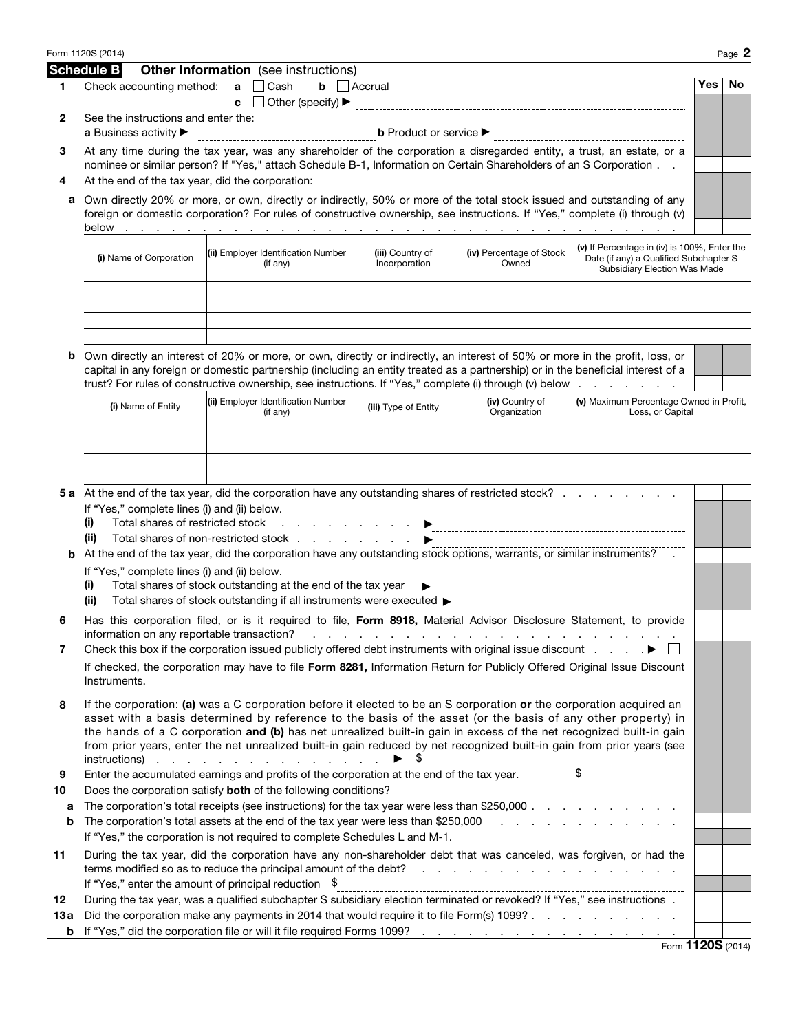|            | Form 1120S (2014)                                                                                                                                                                                                                                                                                                                                                                                                                                                                                       |                                                                                                                                                                                                                                                                                                                                                                           |                                     |                                 |                                                             |     | Page 2 |  |  |  |
|------------|---------------------------------------------------------------------------------------------------------------------------------------------------------------------------------------------------------------------------------------------------------------------------------------------------------------------------------------------------------------------------------------------------------------------------------------------------------------------------------------------------------|---------------------------------------------------------------------------------------------------------------------------------------------------------------------------------------------------------------------------------------------------------------------------------------------------------------------------------------------------------------------------|-------------------------------------|---------------------------------|-------------------------------------------------------------|-----|--------|--|--|--|
|            | <b>Schedule B</b>                                                                                                                                                                                                                                                                                                                                                                                                                                                                                       | <b>Other Information</b> (see instructions)                                                                                                                                                                                                                                                                                                                               |                                     |                                 |                                                             |     |        |  |  |  |
| 1          | Check accounting method:                                                                                                                                                                                                                                                                                                                                                                                                                                                                                | Cash<br>$\mathbf{a}$<br>c                                                                                                                                                                                                                                                                                                                                                 | $\mathbf{b}$ $\Box$ Accrual         |                                 |                                                             | Yes | No.    |  |  |  |
| 2          | See the instructions and enter the:<br>a Business activity ▶                                                                                                                                                                                                                                                                                                                                                                                                                                            |                                                                                                                                                                                                                                                                                                                                                                           |                                     |                                 |                                                             |     |        |  |  |  |
| З          | At any time during the tax year, was any shareholder of the corporation a disregarded entity, a trust, an estate, or a<br>nominee or similar person? If "Yes," attach Schedule B-1, Information on Certain Shareholders of an S Corporation                                                                                                                                                                                                                                                             |                                                                                                                                                                                                                                                                                                                                                                           |                                     |                                 |                                                             |     |        |  |  |  |
| 4          | At the end of the tax year, did the corporation:                                                                                                                                                                                                                                                                                                                                                                                                                                                        |                                                                                                                                                                                                                                                                                                                                                                           |                                     |                                 |                                                             |     |        |  |  |  |
| а          | Own directly 20% or more, or own, directly or indirectly, 50% or more of the total stock issued and outstanding of any<br>foreign or domestic corporation? For rules of constructive ownership, see instructions. If "Yes," complete (i) through (v)                                                                                                                                                                                                                                                    |                                                                                                                                                                                                                                                                                                                                                                           |                                     |                                 |                                                             |     |        |  |  |  |
|            | (v) If Percentage in (iv) is 100%, Enter the<br>(ii) Employer Identification Number<br>(iii) Country of<br>(iv) Percentage of Stock<br>(i) Name of Corporation<br>Date (if any) a Qualified Subchapter S<br>Incorporation<br>Owned<br>(if any)<br><b>Subsidiary Election Was Made</b>                                                                                                                                                                                                                   |                                                                                                                                                                                                                                                                                                                                                                           |                                     |                                 |                                                             |     |        |  |  |  |
|            |                                                                                                                                                                                                                                                                                                                                                                                                                                                                                                         |                                                                                                                                                                                                                                                                                                                                                                           |                                     |                                 |                                                             |     |        |  |  |  |
| b          |                                                                                                                                                                                                                                                                                                                                                                                                                                                                                                         | Own directly an interest of 20% or more, or own, directly or indirectly, an interest of 50% or more in the profit, loss, or<br>capital in any foreign or domestic partnership (including an entity treated as a partnership) or in the beneficial interest of a<br>trust? For rules of constructive ownership, see instructions. If "Yes," complete (i) through (v) below |                                     |                                 |                                                             |     |        |  |  |  |
|            | (i) Name of Entity                                                                                                                                                                                                                                                                                                                                                                                                                                                                                      | (ii) Employer Identification Number<br>(if any)                                                                                                                                                                                                                                                                                                                           | (iii) Type of Entity                | (iv) Country of<br>Organization | (v) Maximum Percentage Owned in Profit,<br>Loss, or Capital |     |        |  |  |  |
|            |                                                                                                                                                                                                                                                                                                                                                                                                                                                                                                         |                                                                                                                                                                                                                                                                                                                                                                           |                                     |                                 |                                                             |     |        |  |  |  |
|            |                                                                                                                                                                                                                                                                                                                                                                                                                                                                                                         |                                                                                                                                                                                                                                                                                                                                                                           |                                     |                                 |                                                             |     |        |  |  |  |
|            |                                                                                                                                                                                                                                                                                                                                                                                                                                                                                                         |                                                                                                                                                                                                                                                                                                                                                                           |                                     |                                 |                                                             |     |        |  |  |  |
|            |                                                                                                                                                                                                                                                                                                                                                                                                                                                                                                         | 5 a At the end of the tax year, did the corporation have any outstanding shares of restricted stock?                                                                                                                                                                                                                                                                      |                                     |                                 |                                                             |     |        |  |  |  |
|            | If "Yes," complete lines (i) and (ii) below.<br>Total shares of restricted stock<br>(i)<br>(ii)                                                                                                                                                                                                                                                                                                                                                                                                         |                                                                                                                                                                                                                                                                                                                                                                           | the contract of the contract of the |                                 |                                                             |     |        |  |  |  |
| b          | Total shares of non-restricted stock<br>At the end of the tax year, did the corporation have any outstanding stock options, warrants, or similar instruments?                                                                                                                                                                                                                                                                                                                                           |                                                                                                                                                                                                                                                                                                                                                                           |                                     |                                 |                                                             |     |        |  |  |  |
|            | If "Yes," complete lines (i) and (ii) below.<br>Total shares of stock outstanding at the end of the tax year<br>(i)                                                                                                                                                                                                                                                                                                                                                                                     |                                                                                                                                                                                                                                                                                                                                                                           |                                     |                                 |                                                             |     |        |  |  |  |
|            | (ii)                                                                                                                                                                                                                                                                                                                                                                                                                                                                                                    | Total shares of stock outstanding if all instruments were executed >                                                                                                                                                                                                                                                                                                      |                                     |                                 |                                                             |     |        |  |  |  |
| 6          | Has this corporation filed, or is it required to file, Form 8918, Material Advisor Disclosure Statement, to provide<br>information on any reportable transaction?<br>.                                                                                                                                                                                                                                                                                                                                  |                                                                                                                                                                                                                                                                                                                                                                           |                                     |                                 |                                                             |     |        |  |  |  |
| 7          |                                                                                                                                                                                                                                                                                                                                                                                                                                                                                                         | Check this box if the corporation issued publicly offered debt instruments with original issue discount $\ldots$ .                                                                                                                                                                                                                                                        |                                     |                                 |                                                             |     |        |  |  |  |
|            | Instruments.                                                                                                                                                                                                                                                                                                                                                                                                                                                                                            | If checked, the corporation may have to file Form 8281, Information Return for Publicly Offered Original Issue Discount                                                                                                                                                                                                                                                   |                                     |                                 |                                                             |     |        |  |  |  |
| 8          | If the corporation: (a) was a C corporation before it elected to be an S corporation or the corporation acquired an<br>asset with a basis determined by reference to the basis of the asset (or the basis of any other property) in<br>the hands of a C corporation and (b) has net unrealized built-in gain in excess of the net recognized built-in gain<br>from prior years, enter the net unrealized built-in gain reduced by net recognized built-in gain from prior years (see<br>$instructions)$ |                                                                                                                                                                                                                                                                                                                                                                           |                                     |                                 |                                                             |     |        |  |  |  |
| 9          | Enter the accumulated earnings and profits of the corporation at the end of the tax year.                                                                                                                                                                                                                                                                                                                                                                                                               |                                                                                                                                                                                                                                                                                                                                                                           |                                     |                                 |                                                             |     |        |  |  |  |
| 10<br>а    | Does the corporation satisfy both of the following conditions?<br>The corporation's total receipts (see instructions) for the tax year were less than \$250,000                                                                                                                                                                                                                                                                                                                                         |                                                                                                                                                                                                                                                                                                                                                                           |                                     |                                 |                                                             |     |        |  |  |  |
| b          |                                                                                                                                                                                                                                                                                                                                                                                                                                                                                                         | The corporation's total assets at the end of the tax year were less than \$250,000 $\ldots$ , $\ldots$ , $\ldots$                                                                                                                                                                                                                                                         |                                     |                                 |                                                             |     |        |  |  |  |
|            |                                                                                                                                                                                                                                                                                                                                                                                                                                                                                                         | If "Yes," the corporation is not required to complete Schedules L and M-1.                                                                                                                                                                                                                                                                                                |                                     |                                 |                                                             |     |        |  |  |  |
| 11         |                                                                                                                                                                                                                                                                                                                                                                                                                                                                                                         | During the tax year, did the corporation have any non-shareholder debt that was canceled, was forgiven, or had the                                                                                                                                                                                                                                                        |                                     |                                 |                                                             |     |        |  |  |  |
|            |                                                                                                                                                                                                                                                                                                                                                                                                                                                                                                         | If "Yes," enter the amount of principal reduction $\$$                                                                                                                                                                                                                                                                                                                    |                                     |                                 |                                                             |     |        |  |  |  |
| 12<br>13 a |                                                                                                                                                                                                                                                                                                                                                                                                                                                                                                         | During the tax year, was a qualified subchapter S subsidiary election terminated or revoked? If "Yes," see instructions .<br>Did the corporation make any payments in 2014 that would require it to file Form(s) 1099?                                                                                                                                                    |                                     |                                 |                                                             |     |        |  |  |  |
| b          |                                                                                                                                                                                                                                                                                                                                                                                                                                                                                                         |                                                                                                                                                                                                                                                                                                                                                                           |                                     |                                 |                                                             |     |        |  |  |  |
|            |                                                                                                                                                                                                                                                                                                                                                                                                                                                                                                         |                                                                                                                                                                                                                                                                                                                                                                           |                                     |                                 | $F_{\text{orm}}$ 1120S (2014)                               |     |        |  |  |  |

Form 1120S (2014)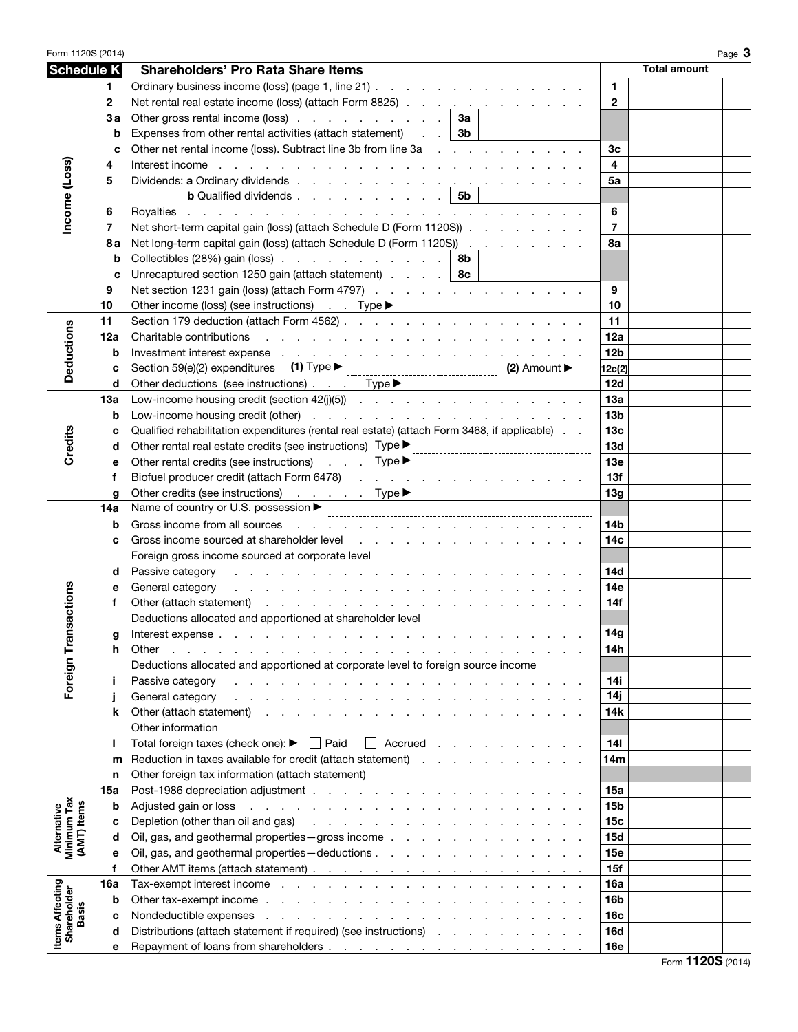| Form 1120S (2014)                         |             |                                                                                                                                                                                                                                                   | Page $3$                |
|-------------------------------------------|-------------|---------------------------------------------------------------------------------------------------------------------------------------------------------------------------------------------------------------------------------------------------|-------------------------|
| <b>Schedule K</b>                         |             | <b>Shareholders' Pro Rata Share Items</b>                                                                                                                                                                                                         | <b>Total amount</b>     |
|                                           | 1.          | Ordinary business income (loss) (page 1, line 21)                                                                                                                                                                                                 | $\mathbf{1}$            |
|                                           | $\mathbf 2$ | Net rental real estate income (loss) (attach Form 8825)                                                                                                                                                                                           | $\mathbf{2}$            |
|                                           | Зa          | Other gross rental income (loss) $\ldots$ $\ldots$ $\ldots$ $\ldots$ $\ldots$ $\mid$ 3a                                                                                                                                                           |                         |
|                                           | b           | Expenses from other rental activities (attach statement) $\therefore$ $\cdot$ 3b                                                                                                                                                                  |                         |
|                                           | C           | Other net rental income (loss). Subtract line 3b from line 3a                                                                                                                                                                                     | 3 <sub>c</sub>          |
|                                           | 4           | Interest income by a contract of the contract of the contract of the contract of the contract of the contract of the contract of the contract of the contract of the contract of the contract of the contract of the contract                     | $\overline{\mathbf{4}}$ |
|                                           | 5           |                                                                                                                                                                                                                                                   | 5a                      |
| Income (Loss)                             |             | <b>b</b> Qualified dividends $\vert$ 5b                                                                                                                                                                                                           |                         |
|                                           | 6           |                                                                                                                                                                                                                                                   | 6                       |
|                                           | 7           | Net short-term capital gain (loss) (attach Schedule D (Form 1120S))                                                                                                                                                                               | $\overline{7}$          |
|                                           | 8а          | Net long-term capital gain (loss) (attach Schedule D (Form 1120S))                                                                                                                                                                                | 8a                      |
|                                           | b           | Collectibles (28%) gain (loss) $\ldots$ $\ldots$ $\ldots$ $\ldots$ $\ldots$ $\ldots$ 8b                                                                                                                                                           |                         |
|                                           | C           | Unrecaptured section 1250 gain (attach statement) $\ldots$ $\ldots$   8c                                                                                                                                                                          |                         |
|                                           | 9           | Net section 1231 gain (loss) (attach Form 4797)                                                                                                                                                                                                   | 9                       |
|                                           | 10          |                                                                                                                                                                                                                                                   | 10                      |
|                                           | 11          |                                                                                                                                                                                                                                                   | 11                      |
| <b>Deductions</b>                         | 12a         |                                                                                                                                                                                                                                                   | 12a                     |
|                                           | b           | Investment interest expense response and contact the contact of the contact of the contact of the contact of the contact of the contact of the contact of the contact of the contact of the contact of the contact of the cont                    | 12 <sub>b</sub>         |
|                                           | c           |                                                                                                                                                                                                                                                   | 12c(2)                  |
|                                           | d           | Other deductions (see instructions) Type >                                                                                                                                                                                                        | 12d                     |
|                                           | 13a         |                                                                                                                                                                                                                                                   | 13a                     |
|                                           | b           |                                                                                                                                                                                                                                                   | 13 <sub>b</sub>         |
| Credits                                   | c           | Qualified rehabilitation expenditures (rental real estate) (attach Form 3468, if applicable)                                                                                                                                                      | 13 <sub>c</sub>         |
|                                           | d           |                                                                                                                                                                                                                                                   | 13d                     |
|                                           | е           | Other rental credits (see instructions) Type measurements are not contained as the contract of the contract of the contract of the contract of the contract of the contract of the contract of the contract of the contr                          | <b>13e</b>              |
|                                           | f           | Biofuel producer credit (attach Form 6478)                                                                                                                                                                                                        | 13f                     |
|                                           | g<br>14a    | Other credits (see instructions) Type ▶<br>Name of country or U.S. possession ▶                                                                                                                                                                   | 13g                     |
|                                           | b           |                                                                                                                                                                                                                                                   | 14b                     |
|                                           | c           | Gross income sourced at shareholder level experience of the state of the state of the state of the state of the state of the state of the state of the state of the state of the state of the state of the state of the state                     | 14 <sub>c</sub>         |
|                                           |             | Foreign gross income sourced at corporate level                                                                                                                                                                                                   |                         |
|                                           | d           | Passive category<br>the contract of the contract of the contract of the contract of the contract of                                                                                                                                               | <b>14d</b>              |
|                                           | е           | General category<br>and the companion of the companion of the companion of the companion of the companion of the companion of the companion of the companion of the companion of the companion of the companion of the companion of the companion | 14e                     |
| sactions                                  | f           |                                                                                                                                                                                                                                                   | 14f                     |
|                                           |             | Deductions allocated and apportioned at shareholder level                                                                                                                                                                                         |                         |
|                                           | g           | Interest expense.                                                                                                                                                                                                                                 | 14g                     |
|                                           | h           | Other<br>the contract of the contract of the contract of the contract of the contract of the contract of the contract of                                                                                                                          | 14h                     |
|                                           |             | Deductions allocated and apportioned at corporate level to foreign source income                                                                                                                                                                  |                         |
| Foreign Tran                              | j.          | Passive category<br>والمتحاول والمتحاول والمتحاول والمتحاول والمتحاول والمتحاول والمتحاولة                                                                                                                                                        | 14i                     |
|                                           | j           | General category                                                                                                                                                                                                                                  | 14j                     |
|                                           | k           | Other (attach statement)                                                                                                                                                                                                                          | 14k                     |
|                                           |             | Other information                                                                                                                                                                                                                                 |                         |
|                                           | ı           | Total foreign taxes (check one): $\blacktriangleright \Box$ Paid<br>$\Box$ Accrued                                                                                                                                                                | 14 <sub>l</sub>         |
|                                           | m           | Reduction in taxes available for credit (attach statement)                                                                                                                                                                                        | 14m                     |
|                                           | n           | Other foreign tax information (attach statement)                                                                                                                                                                                                  |                         |
|                                           | 15a         |                                                                                                                                                                                                                                                   | 15a                     |
|                                           | b           | Adjusted gain or loss entering to the contract of the contract of the contract of the contract of the contract of the contract of the contract of the contract of the contract of the contract of the contract of the contract                    | <b>15b</b>              |
| Alternative<br>Minimum Tax<br>(AMT) Items | c           | Depletion (other than oil and gas)<br>the contract of the contract of the contract of the contract of                                                                                                                                             | 15 <sub>c</sub>         |
|                                           | d           | Oil, gas, and geothermal properties - gross income                                                                                                                                                                                                | <b>15d</b>              |
|                                           | е<br>f      |                                                                                                                                                                                                                                                   | 15e<br>15f              |
|                                           | 16a         | Tax-exempt interest income enterstance and a series and a series and a series of the series of the series of the series of the series of the series of the series of the series of the series of the series of the series of t                    | 16a                     |
|                                           | b           |                                                                                                                                                                                                                                                   | 16 <sub>b</sub>         |
| <b>Basis</b>                              | c           |                                                                                                                                                                                                                                                   | 16c                     |
|                                           | d           | Distributions (attach statement if required) (see instructions)                                                                                                                                                                                   | <b>16d</b>              |
| <b>Items Affecting</b><br>Shareholder     | е           |                                                                                                                                                                                                                                                   | 16e                     |
|                                           |             |                                                                                                                                                                                                                                                   |                         |

Form **1120S** (2014)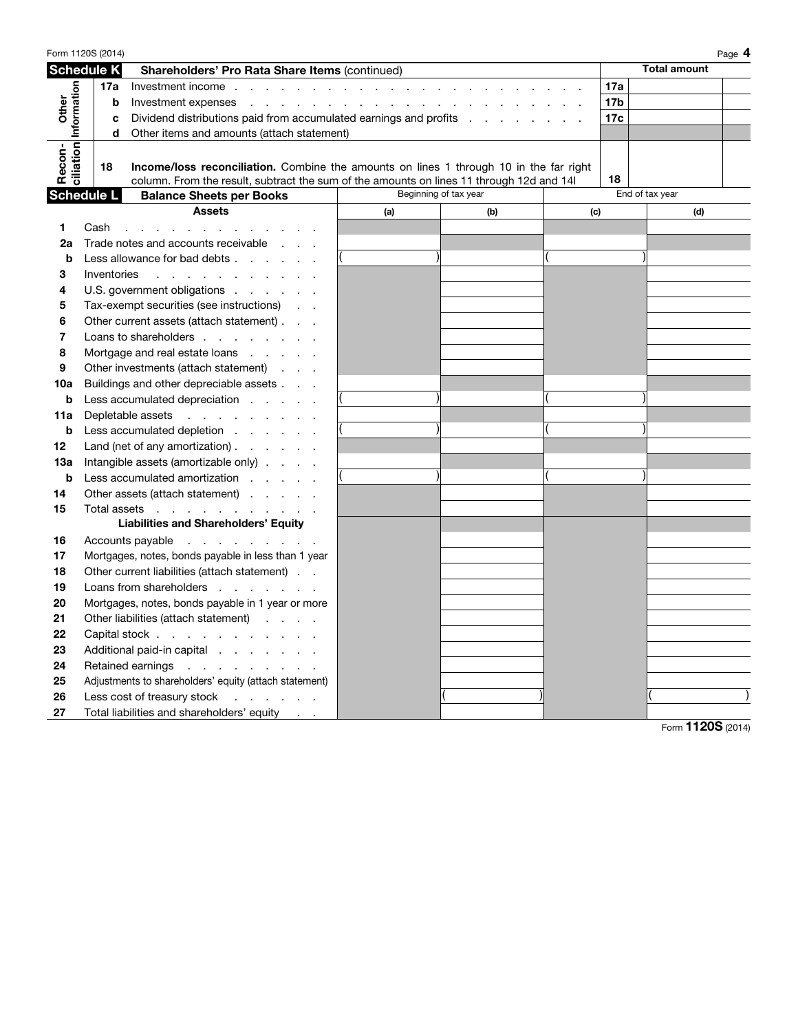| Form 1120S (2014)<br>Page 4                             |                                                   |             |                                                                                                                                                                                                                                |                       |     |     |                 |  |                     |  |
|---------------------------------------------------------|---------------------------------------------------|-------------|--------------------------------------------------------------------------------------------------------------------------------------------------------------------------------------------------------------------------------|-----------------------|-----|-----|-----------------|--|---------------------|--|
| <b>Schedule K</b>                                       |                                                   |             | Shareholders' Pro Rata Share Items (continued)                                                                                                                                                                                 |                       |     |     |                 |  | <b>Total amount</b> |  |
|                                                         |                                                   | 17a         |                                                                                                                                                                                                                                |                       |     |     |                 |  |                     |  |
| Other                                                   |                                                   | b           |                                                                                                                                                                                                                                |                       |     |     | 17 <sub>b</sub> |  |                     |  |
|                                                         |                                                   | c           | Dividend distributions paid from accumulated earnings and profits                                                                                                                                                              |                       |     |     |                 |  |                     |  |
|                                                         |                                                   | d           | Other items and amounts (attach statement)                                                                                                                                                                                     |                       |     |     |                 |  |                     |  |
| ciliation Information                                   |                                                   |             |                                                                                                                                                                                                                                |                       |     |     |                 |  |                     |  |
| Recon-                                                  |                                                   | 18          | <b>Income/loss reconciliation.</b> Combine the amounts on lines 1 through 10 in the far right                                                                                                                                  |                       |     |     |                 |  |                     |  |
|                                                         |                                                   |             | column. From the result, subtract the sum of the amounts on lines 11 through 12d and 14                                                                                                                                        |                       |     | 18  |                 |  |                     |  |
| <b>Schedule L</b>                                       |                                                   |             | <b>Balance Sheets per Books</b>                                                                                                                                                                                                | Beginning of tax year |     |     |                 |  | End of tax year     |  |
|                                                         |                                                   |             | <b>Assets</b>                                                                                                                                                                                                                  | (a)                   | (b) | (c) |                 |  | (d)                 |  |
| 1                                                       | Cash                                              |             | and the contract of the contract of the contract of the contract of the contract of the contract of the contract of the contract of the contract of the contract of the contract of the contract of the contract of the contra |                       |     |     |                 |  |                     |  |
| 2a                                                      |                                                   |             | Trade notes and accounts receivable                                                                                                                                                                                            |                       |     |     |                 |  |                     |  |
| b                                                       |                                                   |             | Less allowance for bad debts                                                                                                                                                                                                   |                       |     |     |                 |  |                     |  |
| 3                                                       |                                                   | Inventories | the contract of the contract of the con-                                                                                                                                                                                       |                       |     |     |                 |  |                     |  |
| 4                                                       |                                                   |             | U.S. government obligations                                                                                                                                                                                                    |                       |     |     |                 |  |                     |  |
| 5                                                       |                                                   |             | Tax-exempt securities (see instructions)                                                                                                                                                                                       |                       |     |     |                 |  |                     |  |
| 6                                                       |                                                   |             | Other current assets (attach statement)                                                                                                                                                                                        |                       |     |     |                 |  |                     |  |
| 7                                                       |                                                   |             | Loans to shareholders                                                                                                                                                                                                          |                       |     |     |                 |  |                     |  |
| 8<br>Mortgage and real estate loans $\ldots$ . $\ldots$ |                                                   |             |                                                                                                                                                                                                                                |                       |     |     |                 |  |                     |  |
| 9                                                       |                                                   |             | Other investments (attach statement)                                                                                                                                                                                           |                       |     |     |                 |  |                     |  |
| 10a                                                     |                                                   |             | Buildings and other depreciable assets                                                                                                                                                                                         |                       |     |     |                 |  |                     |  |
| b                                                       |                                                   |             | Less accumulated depreciation                                                                                                                                                                                                  |                       |     |     |                 |  |                     |  |
| 11a                                                     | Depletable assets                                 |             |                                                                                                                                                                                                                                |                       |     |     |                 |  |                     |  |
| b                                                       |                                                   |             | Less accumulated depletion                                                                                                                                                                                                     |                       |     |     |                 |  |                     |  |
| 12                                                      |                                                   |             | Land (net of any amortization) $\ldots$ $\ldots$                                                                                                                                                                               |                       |     |     |                 |  |                     |  |
| 13a                                                     |                                                   |             | Intangible assets (amortizable only)                                                                                                                                                                                           |                       |     |     |                 |  |                     |  |
| b                                                       |                                                   |             | Less accumulated amortization                                                                                                                                                                                                  |                       |     |     |                 |  |                     |  |
| 14                                                      |                                                   |             | Other assets (attach statement)                                                                                                                                                                                                |                       |     |     |                 |  |                     |  |
| 15                                                      |                                                   |             | Total assets                                                                                                                                                                                                                   |                       |     |     |                 |  |                     |  |
|                                                         |                                                   |             | <b>Liabilities and Shareholders' Equity</b>                                                                                                                                                                                    |                       |     |     |                 |  |                     |  |
| 16                                                      |                                                   |             | Accounts payable                                                                                                                                                                                                               |                       |     |     |                 |  |                     |  |
| 17                                                      |                                                   |             | Mortgages, notes, bonds payable in less than 1 year                                                                                                                                                                            |                       |     |     |                 |  |                     |  |
| 18                                                      | Other current liabilities (attach statement)      |             |                                                                                                                                                                                                                                |                       |     |     |                 |  |                     |  |
| 19                                                      | Loans from shareholders                           |             |                                                                                                                                                                                                                                |                       |     |     |                 |  |                     |  |
| 20                                                      | Mortgages, notes, bonds payable in 1 year or more |             |                                                                                                                                                                                                                                |                       |     |     |                 |  |                     |  |
| 21                                                      | Other liabilities (attach statement)              |             |                                                                                                                                                                                                                                |                       |     |     |                 |  |                     |  |
| 22                                                      | Capital stock                                     |             |                                                                                                                                                                                                                                |                       |     |     |                 |  |                     |  |
| 23<br>Additional paid-in capital                        |                                                   |             |                                                                                                                                                                                                                                |                       |     |     |                 |  |                     |  |
| 24<br>Retained earnings                                 |                                                   |             |                                                                                                                                                                                                                                |                       |     |     |                 |  |                     |  |
| 25                                                      |                                                   |             | Adjustments to shareholders' equity (attach statement)                                                                                                                                                                         |                       |     |     |                 |  |                     |  |
| 26                                                      |                                                   |             | Less cost of treasury stock                                                                                                                                                                                                    |                       |     |     |                 |  |                     |  |
| 27                                                      |                                                   |             | Total liabilities and shareholders' equity                                                                                                                                                                                     |                       |     |     |                 |  |                     |  |